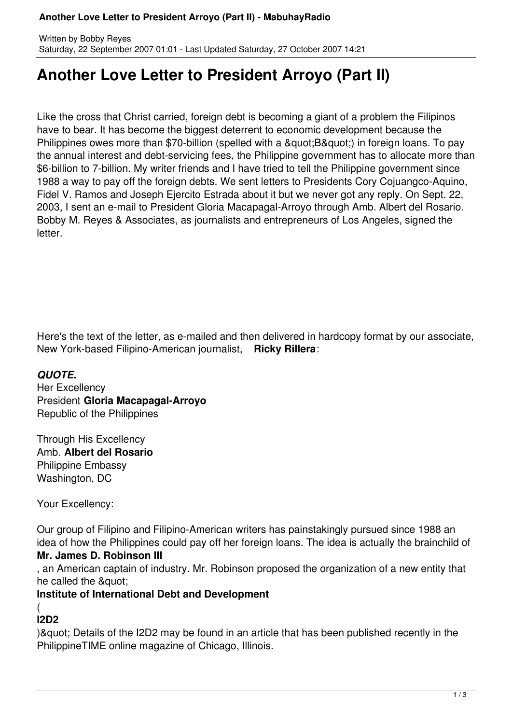# **Another Love Letter to President Arroyo (Part II)**

Like the cross that Christ carried, foreign debt is becoming a giant of a problem the Filipinos have to bear. It has become the biggest deterrent to economic development because the Philippines owes more than \$70-billion (spelled with a " B") in foreign loans. To pay the annual interest and debt-servicing fees, the Philippine government has to allocate more than \$6-billion to 7-billion. My writer friends and I have tried to tell the Philippine government since 1988 a way to pay off the foreign debts. We sent letters to Presidents Cory Cojuangco-Aquino, Fidel V. Ramos and Joseph Ejercito Estrada about it but we never got any reply. On Sept. 22, 2003, I sent an e-mail to President Gloria Macapagal-Arroyo through Amb. Albert del Rosario. Bobby M. Reyes & Associates, as journalists and entrepreneurs of Los Angeles, signed the letter.

Here's the text of the letter, as e-mailed and then delivered in hardcopy format by our associate, New York-based Filipino-American journalist, **Ricky Rillera**:

## *QUOTE.*

Her Excellency President **Gloria Macapagal-Arroyo** Republic of the Philippines

Through His Excellency Amb. **Albert del Rosario** Philippine Embassy Washington, DC

Your Excellency:

Our group of Filipino and Filipino-American writers has painstakingly pursued since 1988 an idea of how the Philippines could pay off her foreign loans. The idea is actually the brainchild of **Mr. James D. Robinson III**

, an American captain of industry. Mr. Robinson proposed the organization of a new entity that he called the &quot:

## **Institute of International Debt and Development**

#### ( **I2D2**

) & quot; Details of the I2D2 may be found in an article that has been published recently in the PhilippineTIME online magazine of Chicago, Illinois.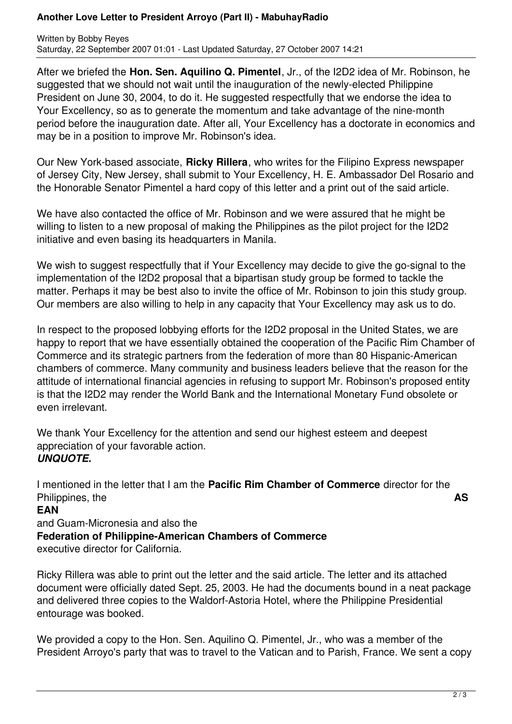#### **Another Love Letter to President Arroyo (Part II) - MabuhayRadio**

Written by Bobby Reyes Saturday, 22 September 2007 01:01 - Last Updated Saturday, 27 October 2007 14:21

After we briefed the **Hon. Sen. Aquilino Q. Pimentel**, Jr., of the I2D2 idea of Mr. Robinson, he suggested that we should not wait until the inauguration of the newly-elected Philippine President on June 30, 2004, to do it. He suggested respectfully that we endorse the idea to Your Excellency, so as to generate the momentum and take advantage of the nine-month period before the inauguration date. After all, Your Excellency has a doctorate in economics and may be in a position to improve Mr. Robinson's idea.

Our New York-based associate, **Ricky Rillera**, who writes for the Filipino Express newspaper of Jersey City, New Jersey, shall submit to Your Excellency, H. E. Ambassador Del Rosario and the Honorable Senator Pimentel a hard copy of this letter and a print out of the said article.

We have also contacted the office of Mr. Robinson and we were assured that he might be willing to listen to a new proposal of making the Philippines as the pilot project for the I2D2 initiative and even basing its headquarters in Manila.

We wish to suggest respectfully that if Your Excellency may decide to give the go-signal to the implementation of the I2D2 proposal that a bipartisan study group be formed to tackle the matter. Perhaps it may be best also to invite the office of Mr. Robinson to join this study group. Our members are also willing to help in any capacity that Your Excellency may ask us to do.

In respect to the proposed lobbying efforts for the I2D2 proposal in the United States, we are happy to report that we have essentially obtained the cooperation of the Pacific Rim Chamber of Commerce and its strategic partners from the federation of more than 80 Hispanic-American chambers of commerce. Many community and business leaders believe that the reason for the attitude of international financial agencies in refusing to support Mr. Robinson's proposed entity is that the I2D2 may render the World Bank and the International Monetary Fund obsolete or even irrelevant.

We thank Your Excellency for the attention and send our highest esteem and deepest appreciation of your favorable action. *UNQUOTE.*

I mentioned in the letter that I am the **Pacific Rim Chamber of Commerce** director for the Philippines, the **AS EAN** and Guam-Micronesia and also the **Federation of Philippine-American Chambers of Commerce** 

executive director for California.

Ricky Rillera was able to print out the letter and the said article. The letter and its attached document were officially dated Sept. 25, 2003. He had the documents bound in a neat package and delivered three copies to the Waldorf-Astoria Hotel, where the Philippine Presidential entourage was booked.

We provided a copy to the Hon. Sen. Aquilino Q. Pimentel, Jr., who was a member of the President Arroyo's party that was to travel to the Vatican and to Parish, France. We sent a copy